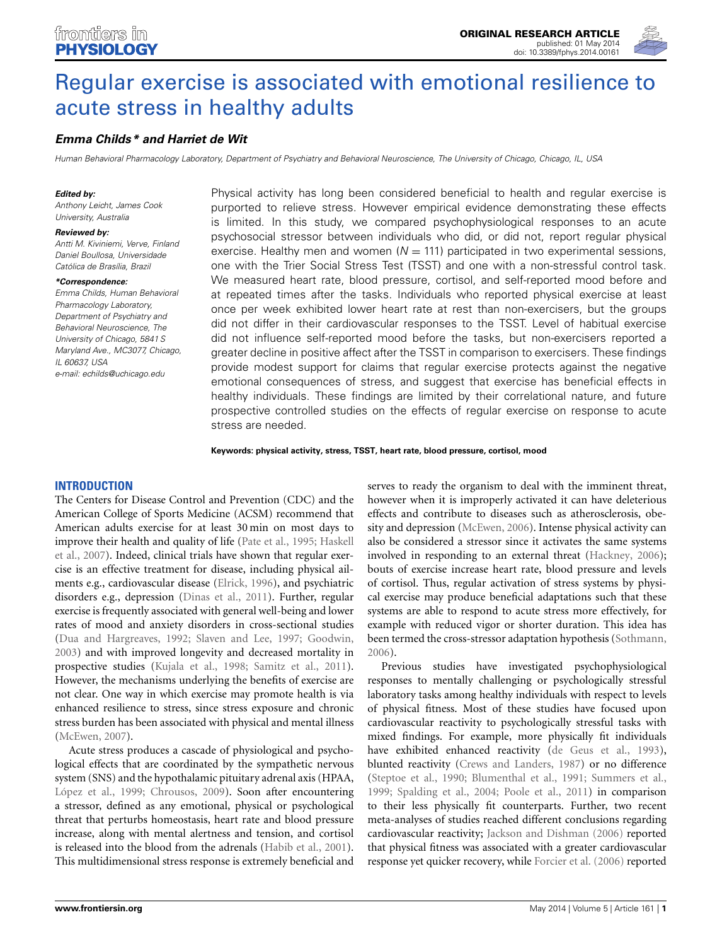

# [Regular exercise is associated with emotional resilience to](http://www.frontiersin.org/journal/10.3389/fphys.2014.00161/abstract) acute stress in healthy adults

## *[Emma Childs](http://community.frontiersin.org/people/u/116349)\* and [Harriet de Wit](http://community.frontiersin.org/people/u/102374)*

*Human Behavioral Pharmacology Laboratory, Department of Psychiatry and Behavioral Neuroscience, The University of Chicago, Chicago, IL, USA*

#### *Edited by:*

*Anthony Leicht, James Cook University, Australia*

#### *Reviewed by:*

*Antti M. Kiviniemi, Verve, Finland Daniel Boullosa, Universidade Católica de Brasília, Brazil*

#### *\*Correspondence:*

*Emma Childs, Human Behavioral Pharmacology Laboratory, Department of Psychiatry and Behavioral Neuroscience, The University of Chicago, 5841 S Maryland Ave., MC3077, Chicago, IL 60637, USA e-mail: [echilds@uchicago.edu](mailto:echilds@uchicago.edu)*

Physical activity has long been considered beneficial to health and regular exercise is purported to relieve stress. However empirical evidence demonstrating these effects is limited. In this study, we compared psychophysiological responses to an acute psychosocial stressor between individuals who did, or did not, report regular physical exercise. Healthy men and women  $(N = 111)$  participated in two experimental sessions, one with the Trier Social Stress Test (TSST) and one with a non-stressful control task. We measured heart rate, blood pressure, cortisol, and self-reported mood before and at repeated times after the tasks. Individuals who reported physical exercise at least once per week exhibited lower heart rate at rest than non-exercisers, but the groups did not differ in their cardiovascular responses to the TSST. Level of habitual exercise did not influence self-reported mood before the tasks, but non-exercisers reported a greater decline in positive affect after the TSST in comparison to exercisers. These findings provide modest support for claims that regular exercise protects against the negative emotional consequences of stress, and suggest that exercise has beneficial effects in healthy individuals. These findings are limited by their correlational nature, and future prospective controlled studies on the effects of regular exercise on response to acute stress are needed.

**Keywords: physical activity, stress, TSST, heart rate, blood pressure, cortisol, mood**

## **INTRODUCTION**

The Centers for Disease Control and Prevention (CDC) and the American College of Sports Medicine (ACSM) recommend that American adults exercise for at least 30 min on most days to imp[rove](#page-5-1) [their](#page-5-1) [health](#page-5-1) [and](#page-5-1) [quality](#page-5-1) [of](#page-5-1) [life](#page-5-1) [\(Pate et al.](#page-5-0)[,](#page-5-1) [1995](#page-5-0)[;](#page-5-1) Haskell et al., [2007\)](#page-5-1). Indeed, clinical trials have shown that regular exercise is an effective treatment for disease, including physical ailments e.g., cardiovascular disease [\(Elrick, 1996](#page-4-0)), and psychiatric disorders e.g., depression [\(Dinas et al., 2011\)](#page-4-1). Further, regular exercise is frequently associated with general well-being and lower rates of mood and anxiety disorders in cross-sectional studies [\(Dua and Hargreaves](#page-4-2), [1992](#page-4-2); [Slaven and Lee](#page-5-2), [1997](#page-5-2); [Goodwin,](#page-4-3) [2003](#page-4-3)) and with improved longevity and decreased mortality in prospective studies [\(Kujala et al.](#page-5-3), [1998;](#page-5-3) [Samitz et al., 2011](#page-5-4)). However, the mechanisms underlying the benefits of exercise are not clear. One way in which exercise may promote health is via enhanced resilience to stress, since stress exposure and chronic stress burden has been associated with physical and mental illness [\(McEwen](#page-5-5), [2007](#page-5-5)).

Acute stress produces a cascade of physiological and psychological effects that are coordinated by the sympathetic nervous system (SNS) and the hypothalamic pituitary adrenal axis (HPAA, [López et al., 1999;](#page-5-6) [Chrousos, 2009](#page-4-4)). Soon after encountering a stressor, defined as any emotional, physical or psychological threat that perturbs homeostasis, heart rate and blood pressure increase, along with mental alertness and tension, and cortisol is released into the blood from the adrenals [\(Habib et al., 2001](#page-4-5)). This multidimensional stress response is extremely beneficial and

serves to ready the organism to deal with the imminent threat, however when it is improperly activated it can have deleterious effects and contribute to diseases such as atherosclerosis, obesity and depression [\(McEwen, 2006](#page-5-7)). Intense physical activity can also be considered a stressor since it activates the same systems involved in responding to an external threat [\(Hackney, 2006](#page-5-8)); bouts of exercise increase heart rate, blood pressure and levels of cortisol. Thus, regular activation of stress systems by physical exercise may produce beneficial adaptations such that these systems are able to respond to acute stress more effectively, for example with reduced vigor or shorter duration. This idea has been termed the cross-stressor adaptation hypothesis [\(Sothmann,](#page-5-9) [2006](#page-5-9)).

Previous studies have investigated psychophysiological responses to mentally challenging or psychologically stressful laboratory tasks among healthy individuals with respect to levels of physical fitness. Most of these studies have focused upon cardiovascular reactivity to psychologically stressful tasks with mixed findings. For example, more physically fit individuals have exhibited enhanced reactivity [\(de Geus et al.](#page-4-6), [1993\)](#page-4-6), blunted reactivity [\(Crews and Landers](#page-4-7), [1987\)](#page-4-7) or no difference [\(Steptoe et al.](#page-5-10), [1990;](#page-5-10) [Blumenthal et al.](#page-4-8), [1991;](#page-4-8) [Summers et al.,](#page-5-11) [1999](#page-5-11); [Spalding et al., 2004](#page-5-12); [Poole et al., 2011](#page-5-13)) in comparison to their less physically fit counterparts. Further, two recent meta-analyses of studies reached different conclusions regarding cardiovascular reactivity; [Jackson and Dishman](#page-5-14) [\(2006\)](#page-5-14) reported that physical fitness was associated with a greater cardiovascular response yet quicker recovery, while [Forcier et al.](#page-4-9) [\(2006](#page-4-9)) reported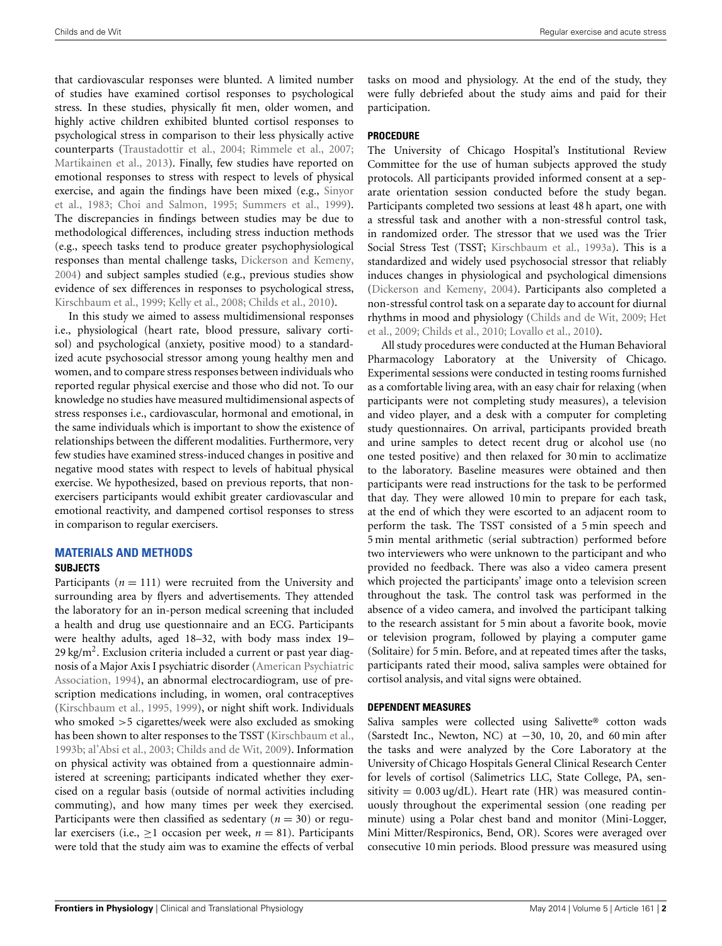that cardiovascular responses were blunted. A limited number of studies have examined cortisol responses to psychological stress. In these studies, physically fit men, older women, and highly active children exhibited blunted cortisol responses to psychological stress in comparison to their less physically active counterparts [\(Traustadottir et al.](#page-6-0), [2004;](#page-6-0) [Rimmele et al., 2007;](#page-5-15) [Martikainen et al., 2013\)](#page-5-16). Finally, few studies have reported on emotional responses to stress with respect to levels of physical exerc[ise, and again the findings have been mixed \(e.g.,](#page-5-17) Sinyor et al., [1983](#page-5-17); [Choi and Salmon](#page-4-10), [1995](#page-4-10); [Summers et al., 1999](#page-5-11)). The discrepancies in findings between studies may be due to methodological differences, including stress induction methods (e.g., speech tasks tend to produce greater psychophysiological responses than mental challenge tasks, [Dickerson and Kemeny,](#page-4-11) [2004](#page-4-11)) and subject samples studied (e.g., previous studies show evidence of sex differences in responses to psychological stress, [Kirschbaum et al., 1999](#page-5-18); [Kelly et al., 2008;](#page-5-19) [Childs et al., 2010\)](#page-4-12).

In this study we aimed to assess multidimensional responses i.e., physiological (heart rate, blood pressure, salivary cortisol) and psychological (anxiety, positive mood) to a standardized acute psychosocial stressor among young healthy men and women, and to compare stress responses between individuals who reported regular physical exercise and those who did not. To our knowledge no studies have measured multidimensional aspects of stress responses i.e., cardiovascular, hormonal and emotional, in the same individuals which is important to show the existence of relationships between the different modalities. Furthermore, very few studies have examined stress-induced changes in positive and negative mood states with respect to levels of habitual physical exercise. We hypothesized, based on previous reports, that nonexercisers participants would exhibit greater cardiovascular and emotional reactivity, and dampened cortisol responses to stress in comparison to regular exercisers.

## **MATERIALS AND METHODS**

## **SUBJECTS**

Participants  $(n = 111)$  were recruited from the University and surrounding area by flyers and advertisements. They attended the laboratory for an in-person medical screening that included a health and drug use questionnaire and an ECG. Participants were healthy adults, aged 18–32, with body mass index 19– 29 kg/m<sup>2</sup>. Exclusion criteria included a current or past year diagnosis of a [Major Axis I psychiatric disorder \(](#page-4-13)American Psychiatric Association, [1994\)](#page-4-13), an abnormal electrocardiogram, use of prescription medications including, in women, oral contraceptives [\(Kirschbaum et al.](#page-5-20), [1995,](#page-5-20) [1999\)](#page-5-18), or night shift work. Individuals who smoked *>*5 cigarettes/week were also excluded as smoking has been shown to alter responses to the TSST [\(Kirschbaum et al.](#page-5-21), [1993b](#page-5-21); [al'Absi et al.](#page-4-14), [2003](#page-4-14); [Childs and de Wit](#page-4-15), [2009\)](#page-4-15). Information on physical activity was obtained from a questionnaire administered at screening; participants indicated whether they exercised on a regular basis (outside of normal activities including commuting), and how many times per week they exercised. Participants were then classified as sedentary ( $n = 30$ ) or regular exercisers (i.e.,  $\geq$ 1 occasion per week,  $n = 81$ ). Participants were told that the study aim was to examine the effects of verbal

tasks on mood and physiology. At the end of the study, they were fully debriefed about the study aims and paid for their participation.

## **PROCEDURE**

The University of Chicago Hospital's Institutional Review Committee for the use of human subjects approved the study protocols. All participants provided informed consent at a separate orientation session conducted before the study began. Participants completed two sessions at least 48 h apart, one with a stressful task and another with a non-stressful control task, in randomized order. The stressor that we used was the Trier Social Stress Test (TSST; [Kirschbaum et al., 1993a\)](#page-5-22). This is a standardized and widely used psychosocial stressor that reliably induces changes in physiological and psychological dimensions [\(Dickerson and Kemeny, 2004](#page-4-11)). Participants also completed a non-stressful control task on a separate day to account for diurnal rhyt[hms in mood and physiology](#page-5-23) [\(Childs and de Wit, 2009](#page-4-15)[;](#page-5-23) Het et al., [2009;](#page-5-23) [Childs et al., 2010;](#page-4-12) [Lovallo et al.](#page-5-24), [2010](#page-5-24)).

All study procedures were conducted at the Human Behavioral Pharmacology Laboratory at the University of Chicago. Experimental sessions were conducted in testing rooms furnished as a comfortable living area, with an easy chair for relaxing (when participants were not completing study measures), a television and video player, and a desk with a computer for completing study questionnaires. On arrival, participants provided breath and urine samples to detect recent drug or alcohol use (no one tested positive) and then relaxed for 30 min to acclimatize to the laboratory. Baseline measures were obtained and then participants were read instructions for the task to be performed that day. They were allowed 10 min to prepare for each task, at the end of which they were escorted to an adjacent room to perform the task. The TSST consisted of a 5 min speech and 5 min mental arithmetic (serial subtraction) performed before two interviewers who were unknown to the participant and who provided no feedback. There was also a video camera present which projected the participants' image onto a television screen throughout the task. The control task was performed in the absence of a video camera, and involved the participant talking to the research assistant for 5 min about a favorite book, movie or television program, followed by playing a computer game (Solitaire) for 5 min. Before, and at repeated times after the tasks, participants rated their mood, saliva samples were obtained for cortisol analysis, and vital signs were obtained.

## **DEPENDENT MEASURES**

Saliva samples were collected using Salivette® cotton wads (Sarstedt Inc., Newton, NC) at −30, 10, 20, and 60 min after the tasks and were analyzed by the Core Laboratory at the University of Chicago Hospitals General Clinical Research Center for levels of cortisol (Salimetrics LLC, State College, PA, sensitivity =  $0.003 \text{ ug/dL}$ . Heart rate (HR) was measured continuously throughout the experimental session (one reading per minute) using a Polar chest band and monitor (Mini-Logger, Mini Mitter/Respironics, Bend, OR). Scores were averaged over consecutive 10 min periods. Blood pressure was measured using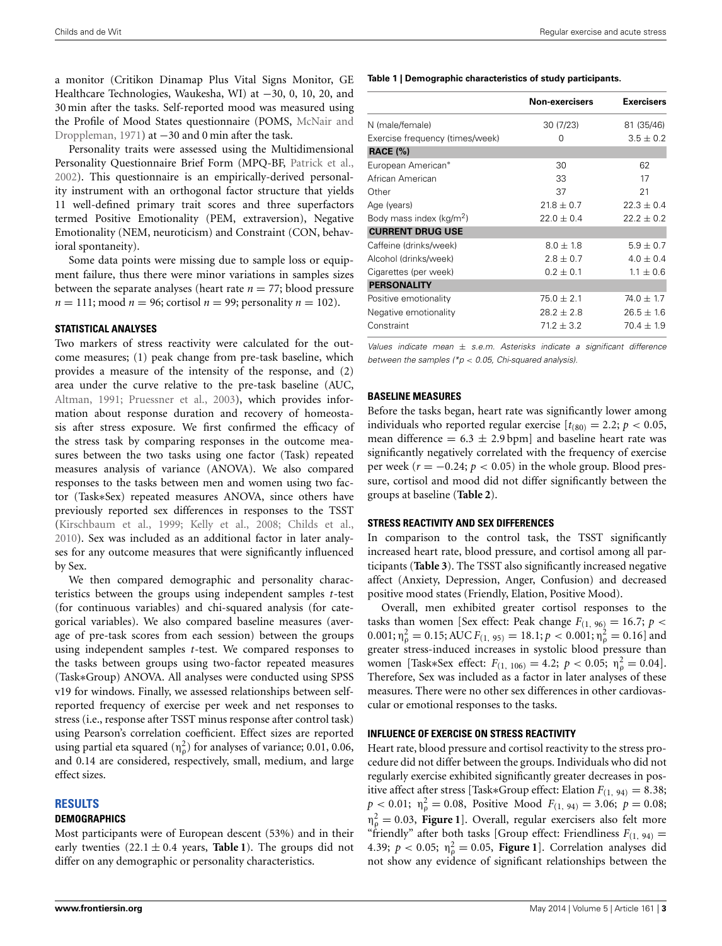a monitor (Critikon Dinamap Plus Vital Signs Monitor, GE Healthcare Technologies, Waukesha, WI) at −30, 0, 10, 20, and 30 min after the tasks. Self-reported mood was measured using the Profile [of](#page-5-25) [Mood](#page-5-25) [States](#page-5-25) [questionnaire](#page-5-25) [\(POMS,](#page-5-25) McNair and Droppleman, [1971\)](#page-5-25) at −30 and 0 min after the task.

Personality traits were assessed using the Multidimensional Personality Questionnaire Brief Form (MPQ-BF, [Patrick et al.,](#page-5-26) [2002](#page-5-26)). This questionnaire is an empirically-derived personality instrument with an orthogonal factor structure that yields 11 well-defined primary trait scores and three superfactors termed Positive Emotionality (PEM, extraversion), Negative Emotionality (NEM, neuroticism) and Constraint (CON, behavioral spontaneity).

Some data points were missing due to sample loss or equipment failure, thus there were minor variations in samples sizes between the separate analyses (heart rate  $n = 77$ ; blood pressure  $n = 111$ ; mood  $n = 96$ ; cortisol  $n = 99$ ; personality  $n = 102$ ).

#### **STATISTICAL ANALYSES**

Two markers of stress reactivity were calculated for the outcome measures; (1) peak change from pre-task baseline, which provides a measure of the intensity of the response, and (2) area under the curve relative to the pre-task baseline (AUC, [Altman, 1991](#page-4-16); [Pruessner et al., 2003](#page-5-27)), which provides information about response duration and recovery of homeostasis after stress exposure. We first confirmed the efficacy of the stress task by comparing responses in the outcome measures between the two tasks using one factor (Task) repeated measures analysis of variance (ANOVA). We also compared responses to the tasks between men and women using two factor (Task∗Sex) repeated measures ANOVA, since others have previously reported sex differences in responses to the TSST [\(Kirschbaum et al., 1999;](#page-5-18) [Kelly et al.](#page-5-19), [2008;](#page-5-19) [Childs et al.,](#page-4-12) [2010](#page-4-12)). Sex was included as an additional factor in later analyses for any outcome measures that were significantly influenced by Sex.

We then compared demographic and personality characteristics between the groups using independent samples *t*-test (for continuous variables) and chi-squared analysis (for categorical variables). We also compared baseline measures (average of pre-task scores from each session) between the groups using independent samples *t*-test. We compared responses to the tasks between groups using two-factor repeated measures (Task∗Group) ANOVA. All analyses were conducted using SPSS v19 for windows. Finally, we assessed relationships between selfreported frequency of exercise per week and net responses to stress (i.e., response after TSST minus response after control task) using Pearson's correlation coefficient. Effect sizes are reported using partial eta squared  $(\eta_\rho^2)$  for analyses of variance; 0.01, 0.06, and 0.14 are considered, respectively, small, medium, and large effect sizes.

## **RESULTS**

#### **DEMOGRAPHICS**

Most participants were of European descent (53%) and in their early twenties  $(22.1 \pm 0.4$  years, **[Table 1](#page-2-0)**). The groups did not differ on any demographic or personality characteristics.

#### <span id="page-2-0"></span>**Table 1 | Demographic characteristics of study participants.**

|                                      | Non-exercisers | <b>Exercisers</b> |
|--------------------------------------|----------------|-------------------|
| N (male/female)                      | 30 (7/23)      | 81 (35/46)        |
| Exercise frequency (times/week)      | O              | $3.5 + 0.2$       |
| <b>RACE (%)</b>                      |                |                   |
| European American*                   | 30             | 62                |
| African American                     | 33             | 17                |
| Other                                | 37             | 21                |
| Age (years)                          | $21.8 + 0.7$   | $22.3 + 0.4$      |
| Body mass index (kg/m <sup>2</sup> ) | $22.0 + 0.4$   | $22.2 + 0.2$      |
| <b>CURRENT DRUG USE</b>              |                |                   |
| Caffeine (drinks/week)               | $8.0 + 1.8$    | $5.9 \pm 0.7$     |
| Alcohol (drinks/week)                | $2.8 \pm 0.7$  | $4.0 + 0.4$       |
| Cigarettes (per week)                | $0.2 + 0.1$    | $1.1 + 0.6$       |
| <b>PERSONALITY</b>                   |                |                   |
| Positive emotionality                | $75.0 \pm 2.1$ | $74.0 \pm 1.7$    |
| Negative emotionality                | $28.2 + 2.8$   | $26.5 + 1.6$      |
| Constraint                           | $71.2 + 3.2$   | $70.4 + 1.9$      |

*Values indicate mean* ± *s.e.m. Asterisks indicate a significant difference between the samples (\*p < 0.05, Chi-squared analysis).*

## **BASELINE MEASURES**

Before the tasks began, heart rate was significantly lower among individuals who reported regular exercise  $[t<sub>(80)</sub>] = 2.2; p < 0.05$ , mean difference =  $6.3 \pm 2.9$  bpm] and baseline heart rate was significantly negatively correlated with the frequency of exercise per week ( $r = -0.24$ ;  $p < 0.05$ ) in the whole group. Blood pressure, cortisol and mood did not differ significantly between the groups at baseline (**[Table 2](#page-3-0)**).

#### **STRESS REACTIVITY AND SEX DIFFERENCES**

In comparison to the control task, the TSST significantly increased heart rate, blood pressure, and cortisol among all participants (**[Table 3](#page-3-1)**). The TSST also significantly increased negative affect (Anxiety, Depression, Anger, Confusion) and decreased positive mood states (Friendly, Elation, Positive Mood).

Overall, men exhibited greater cortisol responses to the tasks than women [Sex effect: Peak change  $F_{(1, 96)} = 16.7$ ;  $p <$  $0.001; η<sub>ρ</sub><sup>2</sup> = 0.15; AUC F<sub>(1, 95)</sub> = 18.1; *p* < 0.001; η<sub>ρ</sub><sup>2</sup> = 0.16]$  and greater stress-induced increases in systolic blood pressure than women [Task\*Sex effect:  $F_{(1, 106)} = 4.2$ ;  $p < 0.05$ ;  $\eta_{\rho}^2 = 0.04$ ]. Therefore, Sex was included as a factor in later analyses of these measures. There were no other sex differences in other cardiovascular or emotional responses to the tasks.

## **INFLUENCE OF EXERCISE ON STRESS REACTIVITY**

Heart rate, blood pressure and cortisol reactivity to the stress procedure did not differ between the groups. Individuals who did not regularly exercise exhibited significantly greater decreases in positive affect after stress [Task\*Group effect: Elation  $F_{(1, 94)} = 8.38$ ;  $p < 0.01$ ;  $\eta_{\rho}^2 = 0.08$ , Positive Mood  $F_{(1, 94)} = 3.06$ ;  $p = 0.08$ ;  $\eta_{\rho}^2 = 0.03$ , **[Figure 1](#page-3-2)**]. Overall, regular exercisers also felt more "friendly" after both tasks [Group effect: Friendliness  $F_{(1, 94)} =$ 4.39;  $p < 0.05$ ;  $\eta_{\rho}^2 = 0.05$ , **[Figure 1](#page-3-2)**]. Correlation analyses did not show any evidence of significant relationships between the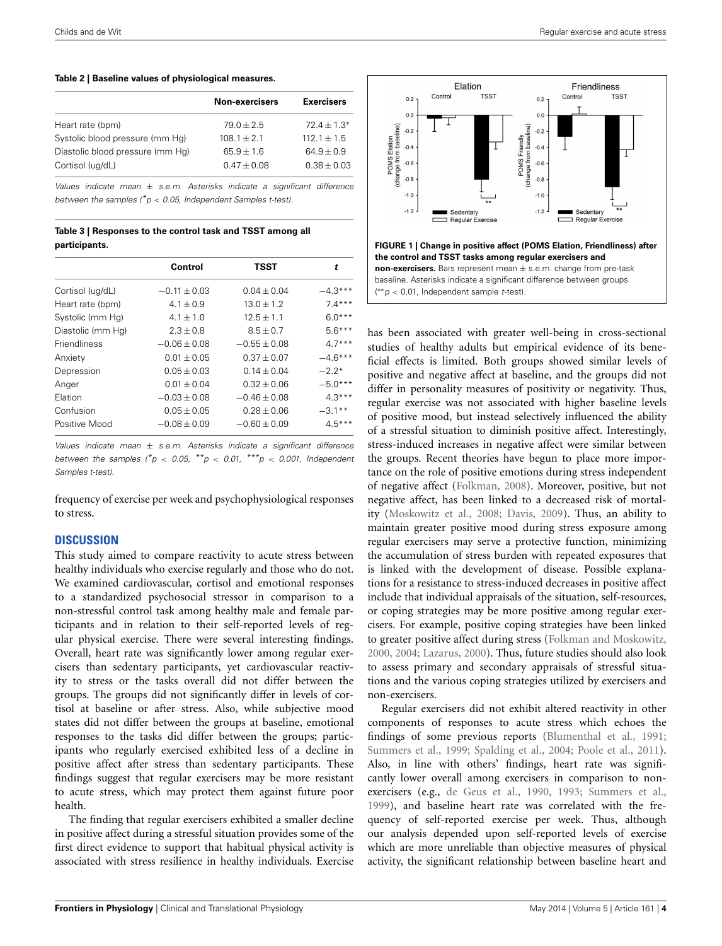<span id="page-3-0"></span>**Table 2 | Baseline values of physiological measures.**

| <b>Non-exercisers</b> | <b>Exercisers</b> |
|-----------------------|-------------------|
| $79.0 + 2.5$          | $72.4 + 1.3*$     |
| $108.1 + 2.1$         | $112.1 + 1.5$     |
| $65.9 + 1.6$          | $64.9 + 0.9$      |
| $0.47 + 0.08$         | $0.38 + 0.03$     |
|                       |                   |

*Values indicate mean* ± *s.e.m. Asterisks indicate a significant difference between the samples (\*p < 0.05, Independent Samples t-test).*

<span id="page-3-1"></span>**Table 3 | Responses to the control task and TSST among all participants.**

|                     | Control          | <b>TSST</b>      | t         |
|---------------------|------------------|------------------|-----------|
| Cortisol (ug/dL)    | $-0.11 + 0.03$   | $0.04 + 0.04$    | $-4.3***$ |
| Heart rate (bpm)    | $4.1 + 0.9$      | $13.0 + 1.2$     | $7.4***$  |
| Systolic (mm Hg)    | $4.1 + 1.0$      | $12.5 + 1.1$     | $60***$   |
| Diastolic (mm Hg)   | $2.3 + 0.8$      | $8.5 + 0.7$      | $5.6***$  |
| <b>Friendliness</b> | $-0.06 \pm 0.08$ | $-0.55 \pm 0.08$ | $47***$   |
| Anxiety             | $0.01 \pm 0.05$  | $0.37 + 0.07$    | $-4.6***$ |
| Depression          | $0.05 + 0.03$    | $0.14 + 0.04$    | $-2.2*$   |
| Anger               | $0.01 + 0.04$    | $0.32 \pm 0.06$  | $-5.0***$ |
| Elation             | $-0.03 + 0.08$   | $-0.46 + 0.08$   | $4.3***$  |
| Confusion           | $0.05 + 0.05$    | $0.28 + 0.06$    | $-3.1***$ |
| Positive Mood       | $-0.08 + 0.09$   | $-0.60 \pm 0.09$ | $4.5***$  |

*Values indicate mean* ± *s.e.m. Asterisks indicate a significant difference between the samples*  $({}^{*}p < 0.05, {}^{**}p < 0.01, {}^{***}p < 0.001,$  Independent *Samples t-test).*

frequency of exercise per week and psychophysiological responses to stress.

## **DISCUSSION**

This study aimed to compare reactivity to acute stress between healthy individuals who exercise regularly and those who do not. We examined cardiovascular, cortisol and emotional responses to a standardized psychosocial stressor in comparison to a non-stressful control task among healthy male and female participants and in relation to their self-reported levels of regular physical exercise. There were several interesting findings. Overall, heart rate was significantly lower among regular exercisers than sedentary participants, yet cardiovascular reactivity to stress or the tasks overall did not differ between the groups. The groups did not significantly differ in levels of cortisol at baseline or after stress. Also, while subjective mood states did not differ between the groups at baseline, emotional responses to the tasks did differ between the groups; participants who regularly exercised exhibited less of a decline in positive affect after stress than sedentary participants. These findings suggest that regular exercisers may be more resistant to acute stress, which may protect them against future poor health.

The finding that regular exercisers exhibited a smaller decline in positive affect during a stressful situation provides some of the first direct evidence to support that habitual physical activity is associated with stress resilience in healthy individuals. Exercise



<span id="page-3-2"></span>has been associated with greater well-being in cross-sectional studies of healthy adults but empirical evidence of its beneficial effects is limited. Both groups showed similar levels of positive and negative affect at baseline, and the groups did not differ in personality measures of positivity or negativity. Thus, regular exercise was not associated with higher baseline levels of positive mood, but instead selectively influenced the ability of a stressful situation to diminish positive affect. Interestingly, stress-induced increases in negative affect were similar between the groups. Recent theories have begun to place more importance on the role of positive emotions during stress independent of negative affect [\(Folkman](#page-4-17), [2008](#page-4-17)). Moreover, positive, but not negative affect, has been linked to a decreased risk of mortality [\(Moskowitz et al., 2008;](#page-5-28) [Davis, 2009](#page-4-18)). Thus, an ability to maintain greater positive mood during stress exposure among regular exercisers may serve a protective function, minimizing the accumulation of stress burden with repeated exposures that is linked with the development of disease. Possible explanations for a resistance to stress-induced decreases in positive affect include that individual appraisals of the situation, self-resources, or coping strategies may be more positive among regular exercisers. For example, positive coping strategies have been linked to greater positive affect during stress [\(Folkman and Moskowitz](#page-4-19), [2000](#page-4-19), [2004](#page-4-20); [Lazarus](#page-5-29), [2000](#page-5-29)). Thus, future studies should also look to assess primary and secondary appraisals of stressful situations and the various coping strategies utilized by exercisers and non-exercisers.

Regular exercisers did not exhibit altered reactivity in other components of responses to acute stress which echoes the findings of some previous reports [\(Blumenthal et al., 1991](#page-4-8); [Summers et al., 1999;](#page-5-11) [Spalding et al., 2004;](#page-5-12) [Poole et al.](#page-5-13), [2011\)](#page-5-13). Also, in line with others' findings, heart rate was significantly lower overall among exercisers in comparison to nonexercisers (e.g., [de Geus et al.](#page-4-21), [1990,](#page-4-21) [1993](#page-4-6); [Summers et al.](#page-5-11), [1999](#page-5-11)), and baseline heart rate was correlated with the frequency of self-reported exercise per week. Thus, although our analysis depended upon self-reported levels of exercise which are more unreliable than objective measures of physical activity, the significant relationship between baseline heart and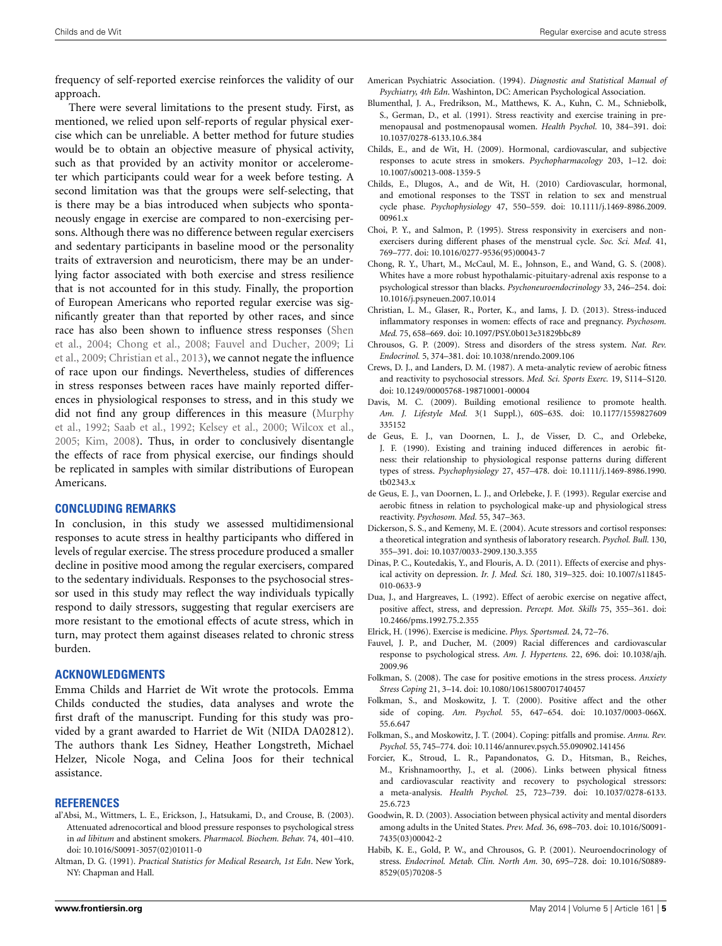frequency of self-reported exercise reinforces the validity of our approach.

There were several limitations to the present study. First, as mentioned, we relied upon self-reports of regular physical exercise which can be unreliable. A better method for future studies would be to obtain an objective measure of physical activity, such as that provided by an activity monitor or accelerometer which participants could wear for a week before testing. A second limitation was that the groups were self-selecting, that is there may be a bias introduced when subjects who spontaneously engage in exercise are compared to non-exercising persons. Although there was no difference between regular exercisers and sedentary participants in baseline mood or the personality traits of extraversion and neuroticism, there may be an underlying factor associated with both exercise and stress resilience that is not accounted for in this study. Finally, the proportion of European Americans who reported regular exercise was significantly greater than that reported by other races, and since race [has also been shown to influence stress responses \(](#page-5-30)Shen et al[.,](#page-5-31) [2004](#page-5-30)[;](#page-5-31) [Chong et al.](#page-4-22)[,](#page-5-31) [2008](#page-4-22)[;](#page-5-31) [Fauvel and Ducher](#page-4-23)[,](#page-5-31) [2009](#page-4-23)[;](#page-5-31) Li et al., [2009;](#page-5-31) [Christian et al.](#page-4-24), [2013\)](#page-4-24), we cannot negate the influence of race upon our findings. Nevertheless, studies of differences in stress responses between races have mainly reported differences in physiological responses to stress, and in this study we did [not find any group differences in this measure \(](#page-5-32)Murphy et al., [1992](#page-5-32); [Saab et al.](#page-5-33), [1992](#page-5-33); [Kelsey et al., 2000;](#page-5-34) [Wilcox et al.,](#page-6-1) [2005](#page-6-1); [Kim, 2008\)](#page-5-35). Thus, in order to conclusively disentangle the effects of race from physical exercise, our findings should be replicated in samples with similar distributions of European Americans.

#### **CONCLUDING REMARKS**

In conclusion, in this study we assessed multidimensional responses to acute stress in healthy participants who differed in levels of regular exercise. The stress procedure produced a smaller decline in positive mood among the regular exercisers, compared to the sedentary individuals. Responses to the psychosocial stressor used in this study may reflect the way individuals typically respond to daily stressors, suggesting that regular exercisers are more resistant to the emotional effects of acute stress, which in turn, may protect them against diseases related to chronic stress burden.

## **ACKNOWLEDGMENTS**

Emma Childs and Harriet de Wit wrote the protocols. Emma Childs conducted the studies, data analyses and wrote the first draft of the manuscript. Funding for this study was provided by a grant awarded to Harriet de Wit (NIDA DA02812). The authors thank Les Sidney, Heather Longstreth, Michael Helzer, Nicole Noga, and Celina Joos for their technical assistance.

#### **REFERENCES**

- <span id="page-4-14"></span>al'Absi, M., Wittmers, L. E., Erickson, J., Hatsukami, D., and Crouse, B. (2003). Attenuated adrenocortical and blood pressure responses to psychological stress in *ad libitum* and abstinent smokers. *Pharmacol. Biochem. Behav.* 74, 401–410. doi: 10.1016/S0091-3057(02)01011-0
- <span id="page-4-16"></span>Altman, D. G. (1991). *Practical Statistics for Medical Research, 1st Edn*. New York, NY: Chapman and Hall.
- <span id="page-4-13"></span>American Psychiatric Association. (1994). *Diagnostic and Statistical Manual of Psychiatry, 4th Edn*. Washinton, DC: American Psychological Association.
- <span id="page-4-8"></span>Blumenthal, J. A., Fredrikson, M., Matthews, K. A., Kuhn, C. M., Schniebolk, S., German, D., et al. (1991). Stress reactivity and exercise training in premenopausal and postmenopausal women. *Health Psychol.* 10, 384–391. doi: 10.1037/0278-6133.10.6.384
- <span id="page-4-15"></span>Childs, E., and de Wit, H. (2009). Hormonal, cardiovascular, and subjective responses to acute stress in smokers. *Psychopharmacology* 203, 1–12. doi: 10.1007/s00213-008-1359-5
- <span id="page-4-12"></span>Childs, E., Dlugos, A., and de Wit, H. (2010) Cardiovascular, hormonal, and emotional responses to the TSST in relation to sex and menstrual cycle phase. *Psychophysiology* 47, 550–559. doi: 10.1111/j.1469-8986.2009. 00961.x
- <span id="page-4-10"></span>Choi, P. Y., and Salmon, P. (1995). Stress responsivity in exercisers and nonexercisers during different phases of the menstrual cycle. *Soc. Sci. Med.* 41, 769–777. doi: 10.1016/0277-9536(95)00043-7
- <span id="page-4-22"></span>Chong, R. Y., Uhart, M., McCaul, M. E., Johnson, E., and Wand, G. S. (2008). Whites have a more robust hypothalamic-pituitary-adrenal axis response to a psychological stressor than blacks. *Psychoneuroendocrinology* 33, 246–254. doi: 10.1016/j.psyneuen.2007.10.014
- <span id="page-4-24"></span>Christian, L. M., Glaser, R., Porter, K., and Iams, J. D. (2013). Stress-induced inflammatory responses in women: effects of race and pregnancy. *Psychosom. Med.* 75, 658–669. doi: 10.1097/PSY.0b013e31829bbc89
- <span id="page-4-4"></span>Chrousos, G. P. (2009). Stress and disorders of the stress system. *Nat. Rev. Endocrinol.* 5, 374–381. doi: 10.1038/nrendo.2009.106
- <span id="page-4-7"></span>Crews, D. J., and Landers, D. M. (1987). A meta-analytic review of aerobic fitness and reactivity to psychosocial stressors. *Med. Sci. Sports Exerc.* 19, S114–S120. doi: 10.1249/00005768-198710001-00004
- <span id="page-4-18"></span>Davis, M. C. (2009). Building emotional resilience to promote health. *Am. J. Lifestyle Med.* 3(1 Suppl.), 60S–63S. doi: 10.1177/1559827609 335152
- <span id="page-4-21"></span>de Geus, E. J., van Doornen, L. J., de Visser, D. C., and Orlebeke, J. F. (1990). Existing and training induced differences in aerobic fitness: their relationship to physiological response patterns during different types of stress. *Psychophysiology* 27, 457–478. doi: 10.1111/j.1469-8986.1990. tb02343.x
- <span id="page-4-6"></span>de Geus, E. J., van Doornen, L. J., and Orlebeke, J. F. (1993). Regular exercise and aerobic fitness in relation to psychological make-up and physiological stress reactivity. *Psychosom. Med.* 55, 347–363.
- <span id="page-4-11"></span>Dickerson, S. S., and Kemeny, M. E. (2004). Acute stressors and cortisol responses: a theoretical integration and synthesis of laboratory research. *Psychol. Bull.* 130, 355–391. doi: 10.1037/0033-2909.130.3.355
- <span id="page-4-1"></span>Dinas, P. C., Koutedakis, Y., and Flouris, A. D. (2011). Effects of exercise and physical activity on depression. *Ir. J. Med. Sci.* 180, 319–325. doi: 10.1007/s11845- 010-0633-9
- <span id="page-4-2"></span>Dua, J., and Hargreaves, L. (1992). Effect of aerobic exercise on negative affect, positive affect, stress, and depression. *Percept. Mot. Skills* 75, 355–361. doi: 10.2466/pms.1992.75.2.355
- <span id="page-4-0"></span>Elrick, H. (1996). Exercise is medicine. *Phys. Sportsmed.* 24, 72–76.
- <span id="page-4-23"></span>Fauvel, J. P., and Ducher, M. (2009) Racial differences and cardiovascular response to psychological stress. *Am. J. Hypertens.* 22, 696. doi: 10.1038/ajh. 2009.96
- <span id="page-4-17"></span>Folkman, S. (2008). The case for positive emotions in the stress process. *Anxiety Stress Coping* 21, 3–14. doi: 10.1080/10615800701740457
- <span id="page-4-19"></span>Folkman, S., and Moskowitz, J. T. (2000). Positive affect and the other side of coping. *Am. Psychol.* 55, 647–654. doi: 10.1037/0003-066X. 55.6.647
- <span id="page-4-20"></span>Folkman, S., and Moskowitz, J. T. (2004). Coping: pitfalls and promise. *Annu. Rev. Psychol.* 55, 745–774. doi: 10.1146/annurev.psych.55.090902.141456
- <span id="page-4-9"></span>Forcier, K., Stroud, L. R., Papandonatos, G. D., Hitsman, B., Reiches, M., Krishnamoorthy, J., et al. (2006). Links between physical fitness and cardiovascular reactivity and recovery to psychological stressors: a meta-analysis. *Health Psychol.* 25, 723–739. doi: 10.1037/0278-6133. 25.6.723
- <span id="page-4-3"></span>Goodwin, R. D. (2003). Association between physical activity and mental disorders among adults in the United States. *Prev. Med.* 36, 698–703. doi: 10.1016/S0091- 7435(03)00042-2
- <span id="page-4-5"></span>Habib, K. E., Gold, P. W., and Chrousos, G. P. (2001). Neuroendocrinology of stress. *Endocrinol. Metab. Clin. North Am.* 30, 695–728. doi: 10.1016/S0889- 8529(05)70208-5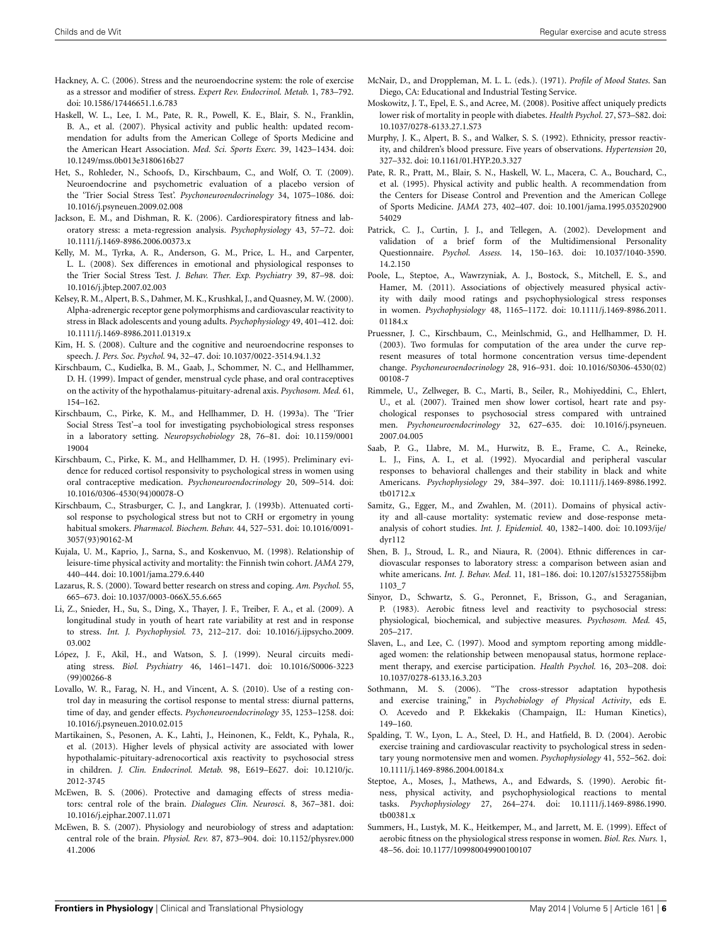- <span id="page-5-8"></span>Hackney, A. C. (2006). Stress and the neuroendocrine system: the role of exercise as a stressor and modifier of stress. *Expert Rev. Endocrinol. Metab.* 1, 783–792. doi: 10.1586/17446651.1.6.783
- <span id="page-5-1"></span>Haskell, W. L., Lee, I. M., Pate, R. R., Powell, K. E., Blair, S. N., Franklin, B. A., et al. (2007). Physical activity and public health: updated recommendation for adults from the American College of Sports Medicine and the American Heart Association. *Med. Sci. Sports Exerc.* 39, 1423–1434. doi: 10.1249/mss.0b013e3180616b27
- <span id="page-5-23"></span>Het, S., Rohleder, N., Schoofs, D., Kirschbaum, C., and Wolf, O. T. (2009). Neuroendocrine and psychometric evaluation of a placebo version of the 'Trier Social Stress Test'. *Psychoneuroendocrinology* 34, 1075–1086. doi: 10.1016/j.psyneuen.2009.02.008
- <span id="page-5-14"></span>Jackson, E. M., and Dishman, R. K. (2006). Cardiorespiratory fitness and laboratory stress: a meta-regression analysis. *Psychophysiology* 43, 57–72. doi: 10.1111/j.1469-8986.2006.00373.x
- <span id="page-5-19"></span>Kelly, M. M., Tyrka, A. R., Anderson, G. M., Price, L. H., and Carpenter, L. L. (2008). Sex differences in emotional and physiological responses to the Trier Social Stress Test. *J. Behav. Ther. Exp. Psychiatry* 39, 87–98. doi: 10.1016/j.jbtep.2007.02.003
- <span id="page-5-34"></span>Kelsey, R. M., Alpert, B. S., Dahmer, M. K., Krushkal, J., and Quasney, M. W. (2000). Alpha-adrenergic receptor gene polymorphisms and cardiovascular reactivity to stress in Black adolescents and young adults. *Psychophysiology* 49, 401–412. doi: 10.1111/j.1469-8986.2011.01319.x
- <span id="page-5-35"></span>Kim, H. S. (2008). Culture and the cognitive and neuroendocrine responses to speech. *J. Pers. Soc. Psychol.* 94, 32–47. doi: 10.1037/0022-3514.94.1.32
- <span id="page-5-18"></span>Kirschbaum, C., Kudielka, B. M., Gaab, J., Schommer, N. C., and Hellhammer, D. H. (1999). Impact of gender, menstrual cycle phase, and oral contraceptives on the activity of the hypothalamus-pituitary-adrenal axis. *Psychosom. Med.* 61, 154–162.
- <span id="page-5-22"></span>Kirschbaum, C., Pirke, K. M., and Hellhammer, D. H. (1993a). The 'Trier Social Stress Test'–a tool for investigating psychobiological stress responses in a laboratory setting. *Neuropsychobiology* 28, 76–81. doi: 10.1159/0001 19004
- <span id="page-5-20"></span>Kirschbaum, C., Pirke, K. M., and Hellhammer, D. H. (1995). Preliminary evidence for reduced cortisol responsivity to psychological stress in women using oral contraceptive medication. *Psychoneuroendocrinology* 20, 509–514. doi: 10.1016/0306-4530(94)00078-O
- <span id="page-5-21"></span>Kirschbaum, C., Strasburger, C. J., and Langkrar, J. (1993b). Attenuated cortisol response to psychological stress but not to CRH or ergometry in young habitual smokers. *Pharmacol. Biochem. Behav.* 44, 527–531. doi: 10.1016/0091- 3057(93)90162-M
- <span id="page-5-3"></span>Kujala, U. M., Kaprio, J., Sarna, S., and Koskenvuo, M. (1998). Relationship of leisure-time physical activity and mortality: the Finnish twin cohort. *JAMA* 279, 440–444. doi: 10.1001/jama.279.6.440
- <span id="page-5-29"></span>Lazarus, R. S. (2000). Toward better research on stress and coping. *Am. Psychol.* 55, 665–673. doi: 10.1037/0003-066X.55.6.665
- <span id="page-5-31"></span>Li, Z., Snieder, H., Su, S., Ding, X., Thayer, J. F., Treiber, F. A., et al. (2009). A longitudinal study in youth of heart rate variability at rest and in response to stress. *Int. J. Psychophysiol.* 73, 212–217. doi: 10.1016/j.ijpsycho.2009. 03.002
- <span id="page-5-6"></span>López, J. F., Akil, H., and Watson, S. J. (1999). Neural circuits mediating stress. *Biol. Psychiatry* 46, 1461–1471. doi: 10.1016/S0006-3223 (99)00266-8
- <span id="page-5-24"></span>Lovallo, W. R., Farag, N. H., and Vincent, A. S. (2010). Use of a resting control day in measuring the cortisol response to mental stress: diurnal patterns, time of day, and gender effects. *Psychoneuroendocrinology* 35, 1253–1258. doi: 10.1016/j.psyneuen.2010.02.015
- <span id="page-5-16"></span>Martikainen, S., Pesonen, A. K., Lahti, J., Heinonen, K., Feldt, K., Pyhala, R., et al. (2013). Higher levels of physical activity are associated with lower hypothalamic-pituitary-adrenocortical axis reactivity to psychosocial stress in children. *J. Clin. Endocrinol. Metab.* 98, E619–E627. doi: 10.1210/jc. 2012-3745
- <span id="page-5-7"></span>McEwen, B. S. (2006). Protective and damaging effects of stress mediators: central role of the brain. *Dialogues Clin. Neurosci.* 8, 367–381. doi: 10.1016/j.ejphar.2007.11.071
- <span id="page-5-5"></span>McEwen, B. S. (2007). Physiology and neurobiology of stress and adaptation: central role of the brain. *Physiol. Rev.* 87, 873–904. doi: 10.1152/physrev.000 41.2006
- <span id="page-5-25"></span>McNair, D., and Droppleman, M. L. L. (eds.). (1971). *Profile of Mood States*. San Diego, CA: Educational and Industrial Testing Service.
- <span id="page-5-28"></span>Moskowitz, J. T., Epel, E. S., and Acree, M. (2008). Positive affect uniquely predicts lower risk of mortality in people with diabetes. *Health Psychol.* 27, S73–S82. doi: 10.1037/0278-6133.27.1.S73
- <span id="page-5-32"></span>Murphy, J. K., Alpert, B. S., and Walker, S. S. (1992). Ethnicity, pressor reactivity, and children's blood pressure. Five years of observations. *Hypertension* 20, 327–332. doi: 10.1161/01.HYP.20.3.327
- <span id="page-5-0"></span>Pate, R. R., Pratt, M., Blair, S. N., Haskell, W. L., Macera, C. A., Bouchard, C., et al. (1995). Physical activity and public health. A recommendation from the Centers for Disease Control and Prevention and the American College of Sports Medicine. *JAMA* 273, 402–407. doi: 10.1001/jama.1995.035202900 54029
- <span id="page-5-26"></span>Patrick, C. J., Curtin, J. J., and Tellegen, A. (2002). Development and validation of a brief form of the Multidimensional Personality Questionnaire. *Psychol. Assess.* 14, 150–163. doi: 10.1037/1040-3590. 14.2.150
- <span id="page-5-13"></span>Poole, L., Steptoe, A., Wawrzyniak, A. J., Bostock, S., Mitchell, E. S., and Hamer, M. (2011). Associations of objectively measured physical activity with daily mood ratings and psychophysiological stress responses in women. *Psychophysiology* 48, 1165–1172. doi: 10.1111/j.1469-8986.2011. 01184.x
- <span id="page-5-27"></span>Pruessner, J. C., Kirschbaum, C., Meinlschmid, G., and Hellhammer, D. H. (2003). Two formulas for computation of the area under the curve represent measures of total hormone concentration versus time-dependent change. *Psychoneuroendocrinology* 28, 916–931. doi: 10.1016/S0306-4530(02) 00108-7
- <span id="page-5-15"></span>Rimmele, U., Zellweger, B. C., Marti, B., Seiler, R., Mohiyeddini, C., Ehlert, U., et al. (2007). Trained men show lower cortisol, heart rate and psychological responses to psychosocial stress compared with untrained men. *Psychoneuroendocrinology* 32, 627–635. doi: 10.1016/j.psyneuen. 2007.04.005
- <span id="page-5-33"></span>Saab, P. G., Llabre, M. M., Hurwitz, B. E., Frame, C. A., Reineke, L. J., Fins, A. I., et al. (1992). Myocardial and peripheral vascular responses to behavioral challenges and their stability in black and white Americans. *Psychophysiology* 29, 384–397. doi: 10.1111/j.1469-8986.1992. tb01712.x
- <span id="page-5-4"></span>Samitz, G., Egger, M., and Zwahlen, M. (2011). Domains of physical activity and all-cause mortality: systematic review and dose-response metaanalysis of cohort studies. *Int. J. Epidemiol.* 40, 1382–1400. doi: 10.1093/ije/ dyr112
- <span id="page-5-30"></span>Shen, B. J., Stroud, L. R., and Niaura, R. (2004). Ethnic differences in cardiovascular responses to laboratory stress: a comparison between asian and white americans. *Int. J. Behav. Med.* 11, 181–186. doi: 10.1207/s15327558ijbm 1103\_7
- <span id="page-5-17"></span>Sinyor, D., Schwartz, S. G., Peronnet, F., Brisson, G., and Seraganian, P. (1983). Aerobic fitness level and reactivity to psychosocial stress: physiological, biochemical, and subjective measures. *Psychosom. Med.* 45, 205–217.
- <span id="page-5-2"></span>Slaven, L., and Lee, C. (1997). Mood and symptom reporting among middleaged women: the relationship between menopausal status, hormone replacement therapy, and exercise participation. *Health Psychol.* 16, 203–208. doi: 10.1037/0278-6133.16.3.203
- <span id="page-5-9"></span>Sothmann, M. S. (2006). "The cross-stressor adaptation hypothesis and exercise training," in *Psychobiology of Physical Activity*, eds E. O. Acevedo and P. Ekkekakis (Champaign, IL: Human Kinetics), 149–160.
- <span id="page-5-12"></span>Spalding, T. W., Lyon, L. A., Steel, D. H., and Hatfield, B. D. (2004). Aerobic exercise training and cardiovascular reactivity to psychological stress in sedentary young normotensive men and women. *Psychophysiology* 41, 552–562. doi: 10.1111/j.1469-8986.2004.00184.x
- <span id="page-5-10"></span>Steptoe, A., Moses, J., Mathews, A., and Edwards, S. (1990). Aerobic fitness, physical activity, and psychophysiological reactions to mental tasks. *Psychophysiology* 27, 264–274. doi: 10.1111/j.1469-8986.1990. tb00381.x
- <span id="page-5-11"></span>Summers, H., Lustyk, M. K., Heitkemper, M., and Jarrett, M. E. (1999). Effect of aerobic fitness on the physiological stress response in women. *Biol. Res. Nurs.* 1, 48–56. doi: 10.1177/109980049900100107